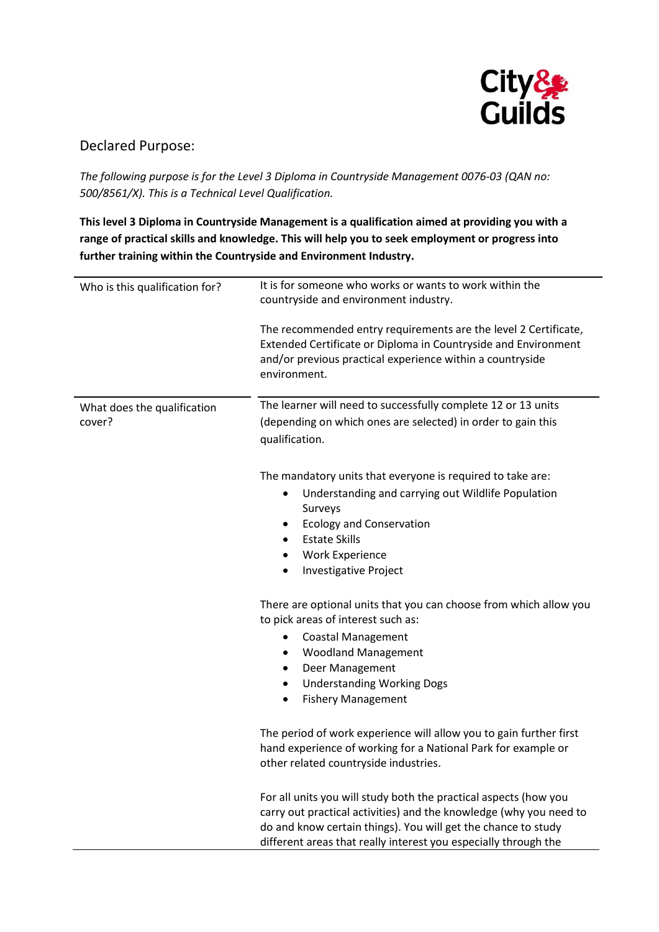

## Declared Purpose:

*The following purpose is for the Level 3 Diploma in Countryside Management 0076-03 (QAN no: 500/8561/X). This is a Technical Level Qualification.*

**This level 3 Diploma in Countryside Management is a qualification aimed at providing you with a range of practical skills and knowledge. This will help you to seek employment or progress into further training within the Countryside and Environment Industry.**

| Who is this qualification for? | It is for someone who works or wants to work within the<br>countryside and environment industry.                                                                                                                                                                           |
|--------------------------------|----------------------------------------------------------------------------------------------------------------------------------------------------------------------------------------------------------------------------------------------------------------------------|
|                                | The recommended entry requirements are the level 2 Certificate,<br>Extended Certificate or Diploma in Countryside and Environment<br>and/or previous practical experience within a countryside<br>environment.                                                             |
| What does the qualification    | The learner will need to successfully complete 12 or 13 units                                                                                                                                                                                                              |
| cover?                         | (depending on which ones are selected) in order to gain this<br>qualification.                                                                                                                                                                                             |
|                                | The mandatory units that everyone is required to take are:                                                                                                                                                                                                                 |
|                                | Understanding and carrying out Wildlife Population<br>٠<br>Surveys<br><b>Ecology and Conservation</b><br>$\bullet$                                                                                                                                                         |
|                                | <b>Estate Skills</b><br>$\bullet$                                                                                                                                                                                                                                          |
|                                | <b>Work Experience</b><br>$\bullet$                                                                                                                                                                                                                                        |
|                                | <b>Investigative Project</b><br>$\bullet$                                                                                                                                                                                                                                  |
|                                | There are optional units that you can choose from which allow you<br>to pick areas of interest such as:                                                                                                                                                                    |
|                                | <b>Coastal Management</b><br>٠                                                                                                                                                                                                                                             |
|                                | <b>Woodland Management</b><br>٠                                                                                                                                                                                                                                            |
|                                | Deer Management<br>$\bullet$                                                                                                                                                                                                                                               |
|                                | <b>Understanding Working Dogs</b><br>$\bullet$                                                                                                                                                                                                                             |
|                                | <b>Fishery Management</b><br>$\bullet$                                                                                                                                                                                                                                     |
|                                | The period of work experience will allow you to gain further first<br>hand experience of working for a National Park for example or<br>other related countryside industries.                                                                                               |
|                                | For all units you will study both the practical aspects (how you<br>carry out practical activities) and the knowledge (why you need to<br>do and know certain things). You will get the chance to study<br>different areas that really interest you especially through the |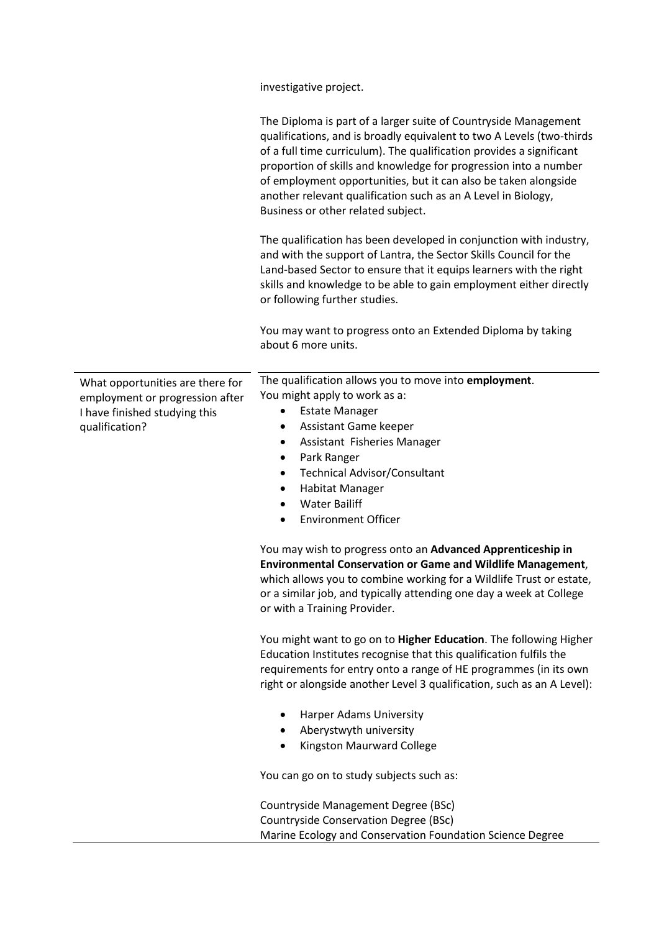investigative project.

|                                                                                                      | The Diploma is part of a larger suite of Countryside Management<br>qualifications, and is broadly equivalent to two A Levels (two-thirds<br>of a full time curriculum). The qualification provides a significant<br>proportion of skills and knowledge for progression into a number<br>of employment opportunities, but it can also be taken alongside<br>another relevant qualification such as an A Level in Biology,<br>Business or other related subject. |
|------------------------------------------------------------------------------------------------------|----------------------------------------------------------------------------------------------------------------------------------------------------------------------------------------------------------------------------------------------------------------------------------------------------------------------------------------------------------------------------------------------------------------------------------------------------------------|
|                                                                                                      | The qualification has been developed in conjunction with industry,<br>and with the support of Lantra, the Sector Skills Council for the<br>Land-based Sector to ensure that it equips learners with the right<br>skills and knowledge to be able to gain employment either directly<br>or following further studies.                                                                                                                                           |
|                                                                                                      | You may want to progress onto an Extended Diploma by taking<br>about 6 more units.                                                                                                                                                                                                                                                                                                                                                                             |
| What opportunities are there for<br>employment or progression after<br>I have finished studying this | The qualification allows you to move into employment.<br>You might apply to work as a:<br><b>Estate Manager</b><br>٠                                                                                                                                                                                                                                                                                                                                           |
| qualification?                                                                                       | Assistant Game keeper<br>٠<br>Assistant Fisheries Manager<br>٠                                                                                                                                                                                                                                                                                                                                                                                                 |
|                                                                                                      | Park Ranger<br>٠                                                                                                                                                                                                                                                                                                                                                                                                                                               |
|                                                                                                      | <b>Technical Advisor/Consultant</b><br>٠                                                                                                                                                                                                                                                                                                                                                                                                                       |
|                                                                                                      | Habitat Manager<br>٠                                                                                                                                                                                                                                                                                                                                                                                                                                           |
|                                                                                                      | <b>Water Bailiff</b>                                                                                                                                                                                                                                                                                                                                                                                                                                           |
|                                                                                                      | <b>Environment Officer</b>                                                                                                                                                                                                                                                                                                                                                                                                                                     |
|                                                                                                      | You may wish to progress onto an Advanced Apprenticeship in<br><b>Environmental Conservation or Game and Wildlife Management,</b><br>which allows you to combine working for a Wildlife Trust or estate,<br>or a similar job, and typically attending one day a week at College<br>or with a Training Provider.                                                                                                                                                |
|                                                                                                      | You might want to go on to Higher Education. The following Higher<br>Education Institutes recognise that this qualification fulfils the<br>requirements for entry onto a range of HE programmes (in its own<br>right or alongside another Level 3 qualification, such as an A Level):                                                                                                                                                                          |
|                                                                                                      | Harper Adams University                                                                                                                                                                                                                                                                                                                                                                                                                                        |
|                                                                                                      | Aberystwyth university                                                                                                                                                                                                                                                                                                                                                                                                                                         |
|                                                                                                      | Kingston Maurward College                                                                                                                                                                                                                                                                                                                                                                                                                                      |
|                                                                                                      | You can go on to study subjects such as:                                                                                                                                                                                                                                                                                                                                                                                                                       |
|                                                                                                      | Countryside Management Degree (BSc)                                                                                                                                                                                                                                                                                                                                                                                                                            |
|                                                                                                      | <b>Countryside Conservation Degree (BSc)</b>                                                                                                                                                                                                                                                                                                                                                                                                                   |
|                                                                                                      | Marine Ecology and Conservation Foundation Science Degree                                                                                                                                                                                                                                                                                                                                                                                                      |